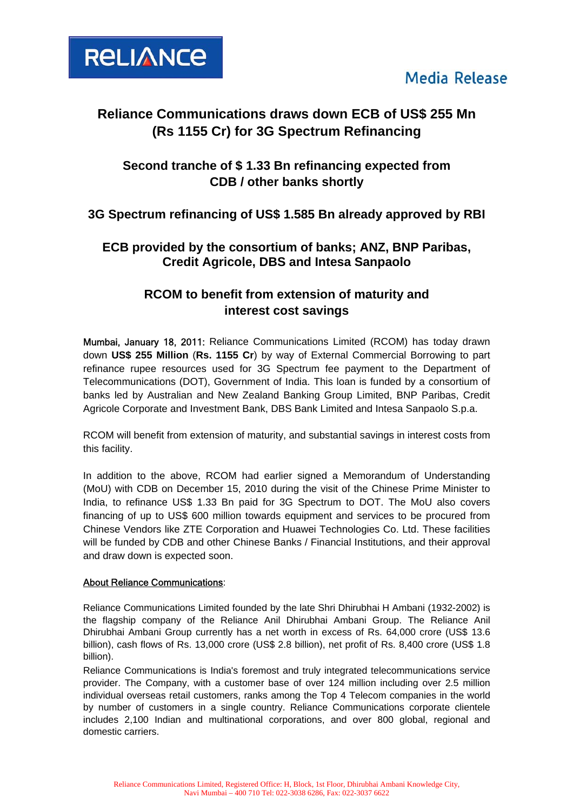



# **Reliance Communications draws down ECB of US\$ 255 Mn (Rs 1155 Cr) for 3G Spectrum Refinancing**

## **Second tranche of \$ 1.33 Bn refinancing expected from CDB / other banks shortly**

### **3G Spectrum refinancing of US\$ 1.585 Bn already approved by RBI**

### **ECB provided by the consortium of banks; ANZ, BNP Paribas, Credit Agricole, DBS and Intesa Sanpaolo**

### **RCOM to benefit from extension of maturity and interest cost savings**

Mumbai, January 18, 2011: Reliance Communications Limited (RCOM) has today drawn down **US\$ 255 Million** (**Rs. 1155 Cr**) by way of External Commercial Borrowing to part refinance rupee resources used for 3G Spectrum fee payment to the Department of Telecommunications (DOT), Government of India. This loan is funded by a consortium of banks led by Australian and New Zealand Banking Group Limited, BNP Paribas, Credit Agricole Corporate and Investment Bank, DBS Bank Limited and Intesa Sanpaolo S.p.a.

RCOM will benefit from extension of maturity, and substantial savings in interest costs from this facility.

In addition to the above, RCOM had earlier signed a Memorandum of Understanding (MoU) with CDB on December 15, 2010 during the visit of the Chinese Prime Minister to India, to refinance US\$ 1.33 Bn paid for 3G Spectrum to DOT. The MoU also covers financing of up to US\$ 600 million towards equipment and services to be procured from Chinese Vendors like ZTE Corporation and Huawei Technologies Co. Ltd. These facilities will be funded by CDB and other Chinese Banks / Financial Institutions, and their approval and draw down is expected soon.

#### About Reliance Communications:

Reliance Communications Limited founded by the late Shri Dhirubhai H Ambani (1932-2002) is the flagship company of the Reliance Anil Dhirubhai Ambani Group. The Reliance Anil Dhirubhai Ambani Group currently has a net worth in excess of Rs. 64,000 crore (US\$ 13.6 billion), cash flows of Rs. 13,000 crore (US\$ 2.8 billion), net profit of Rs. 8,400 crore (US\$ 1.8 billion).

Reliance Communications is India's foremost and truly integrated telecommunications service provider. The Company, with a customer base of over 124 million including over 2.5 million individual overseas retail customers, ranks among the Top 4 Telecom companies in the world by number of customers in a single country. Reliance Communications corporate clientele includes 2,100 Indian and multinational corporations, and over 800 global, regional and domestic carriers.